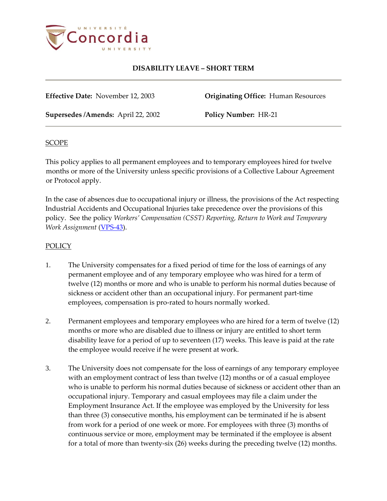

# **DISABILITY LEAVE – SHORT TERM**

**Effective Date:** November 12, 2003 **Originating Office:** Human Resources

**Supersedes /Amends:** April 22, 2002 **Policy Number:** HR-21

### **SCOPE**

This policy applies to all permanent employees and to temporary employees hired for twelve months or more of the University unless specific provisions of a Collective Labour Agreement or Protocol apply.

In the case of absences due to occupational injury or illness, the provisions of the Act respecting Industrial Accidents and Occupational Injuries take precedence over the provisions of this policy. See the policy *Workers' Compensation (CSST) Reporting, Return to Work and Temporary Work Assignment* [\(VPS-43\)](http://www.concordia.ca/vpirsg/documents/policies/VPS-43.pdf).

## POLICY

- 1. The University compensates for a fixed period of time for the loss of earnings of any permanent employee and of any temporary employee who was hired for a term of twelve (12) months or more and who is unable to perform his normal duties because of sickness or accident other than an occupational injury. For permanent part-time employees, compensation is pro-rated to hours normally worked.
- 2. Permanent employees and temporary employees who are hired for a term of twelve (12) months or more who are disabled due to illness or injury are entitled to short term disability leave for a period of up to seventeen (17) weeks. This leave is paid at the rate the employee would receive if he were present at work.
- 3. The University does not compensate for the loss of earnings of any temporary employee with an employment contract of less than twelve (12) months or of a casual employee who is unable to perform his normal duties because of sickness or accident other than an occupational injury. Temporary and casual employees may file a claim under the Employment Insurance Act. If the employee was employed by the University for less than three (3) consecutive months, his employment can be terminated if he is absent from work for a period of one week or more. For employees with three (3) months of continuous service or more, employment may be terminated if the employee is absent for a total of more than twenty-six (26) weeks during the preceding twelve (12) months.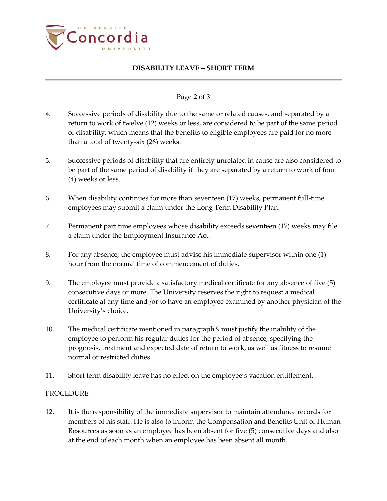

## **DISABILITY LEAVE – SHORT TERM**

#### Page **2** of **3**

- 4. Successive periods of disability due to the same or related causes, and separated by a return to work of twelve (12) weeks or less, are considered to be part of the same period of disability, which means that the benefits to eligible employees are paid for no more than a total of twenty-six (26) weeks.
- 5. Successive periods of disability that are entirely unrelated in cause are also considered to be part of the same period of disability if they are separated by a return to work of four (4) weeks or less.
- 6. When disability continues for more than seventeen (17) weeks, permanent full-time employees may submit a claim under the Long Term Disability Plan.
- 7. Permanent part time employees whose disability exceeds seventeen (17) weeks may file a claim under the Employment Insurance Act.
- 8. For any absence, the employee must advise his immediate supervisor within one (1) hour from the normal time of commencement of duties.
- 9. The employee must provide a satisfactory medical certificate for any absence of five (5) consecutive days or more. The University reserves the right to request a medical certificate at any time and /or to have an employee examined by another physician of the University's choice.
- 10. The medical certificate mentioned in paragraph 9 must justify the inability of the employee to perform his regular duties for the period of absence, specifying the prognosis, treatment and expected date of return to work, as well as fitness to resume normal or restricted duties.
- 11. Short term disability leave has no effect on the employee's vacation entitlement.

### PROCEDURE

12. It is the responsibility of the immediate supervisor to maintain attendance records for members of his staff. He is also to inform the Compensation and Benefits Unit of Human Resources as soon as an employee has been absent for five (5) consecutive days and also at the end of each month when an employee has been absent all month.